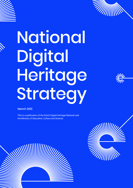

# National Digital Heritage Strategy

March 2021

 This is a publication of the Dutch Digital Heritage Network and the Ministry of Education, Culture and Science



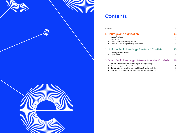

# **Contents**

Foreword 03

# 1. Heritage and digitisation

- 1. Value of heritage
- 2. Digitisation
- 3. Cultural institutions and digitisation
- 4. National Digital Heritage Strategy six years or

# 2. National Digital Heritage Stra

- 1. Challenges and principles
- 2. Organisation

# 3. Dutch Digital Heritage Network

- 1. Widening the scope of the National Digital He
- 2. Strengthening connections with users and pro
- 3. Exploiting the opportunities and possibilities
- 4. Boosting the development and sharing of digitation

|                              | 05 |
|------------------------------|----|
|                              | 05 |
|                              | 07 |
| n                            | 08 |
| <sup>-</sup> ategy 2021–2024 | 10 |
|                              | 11 |
|                              | 13 |
| ork Agenda 2021-2024         | 16 |
| eritage Strategy             | 17 |
| oducers                      | 18 |
| of new technologies          | 18 |
| itisation knowledge          | 19 |
|                              |    |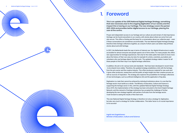

# Foreword

This is an update of the 2015 National Digital Heritage Strategy, something that was necessary due to the ongoing digitisation of our society and the impact this is having on our heritage. The new strategy covers the period 2021-2024 and provides better digital access to our heritage, placing the user at the centre.

Proper and independent access to our heritage and our culture are and remain of vital importance. Heritage can be found everywhere in our country, with stories about where we come from and who we are. This offers a footing and the basis for a conversation about our collective past – even if these conversations are sometimes uncomfortable. The new National Digital Heritage Strategy therefore links heritage collections together, as a result of which users can better relay all these stories about and with heritage.

In 2021, the Netherlands leads the way in terms of internet use. Our digital infrastructure is easily accessible for almost everyone and people spend a lot of time online. For many people, this offers new opportunities for heritage experiences. Not only for the wider public that wants to know more about the history of their own area, but also for example for artists, scientists, journalists and volunteers who use heritage objects for their work. The updated strategy makes it easier for all these people to find their way in our digital heritage collections.

In addition, the aim is for various tools and standards - that have been developed in recent times - to be shared more widely. Therefore, the updated strategy establishes a link with the heritage from the arts sector and the creative industry. This offers producers material for new work and it gives other producers, researchers *and* the public at large insight into their creative process as well as sources of inspiration. The strategy also explores the possibilities for heritage collections of new technologies, such as artificial intelligence (AI) and the application of big data.

Digitisation is a task that cannot be achieved by individual institutions alone; it is one that the heritage sector must tackle as a whole. The Ministry of Education, Culture and Science is supporting the heritage sector in this, with this updated National Digital Heritage Strategy. Since 2015, the implementation of the strategy has been entrusted to the Dutch Digital Heritage Network, and this network of heritage institutions has accepted the challenge of further developing the new strategy together with parties of all sizes from the heritage sector. I look forward to seeing the results of this hard work.

This new National Digital Heritage Strategy is therefore not only a strategy for digitisation, but also very much a strategy for further collaboration. This latter factor is of crucial importance to its success!

Ingrid van Engelshoven Minister of Education, Culture and Science

1.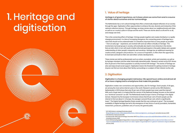# 1. Value of heritage

Heritage is of great importance, as it shows where we come from and is a source of stories about ourselves and our surroundings.

The Netherlands has a rich cultural heritage that offers a historically shaped reflection of our society through the ages. Digitisation offers opportunities to enhance the size, diversity and inclusivity of this national collective memory. Through heritage, we share stories about our neighbourhoods and cities, as well as our country's place in Europe and the world. These are stories about us all and for us all, and change over time.

This is the connecting effect of heritage. It brings people together and creates familiarity in a rapidly changing environment. In a time of increasing divergence, the connecting power of heritage has a value that should not be underestimated. It is therefore important that as many people as possible – from an early age – experience, are involved with and can reflect critically on heritage. This involvement, by broad groups in society, will eventually also lead to more diversity in the stories that are told, which in turn will result in better-informed participants in the public debate and a greater understanding of other people's viewpoints and narratives. Heritage has an additional meaning for creative artists, designers and producers. As a source of inspiration, it offers them the opportunity to look back and build on their own and others' artistic developments.

These stories are told by professionals such as writers, journalists, artists and scientists, as well as by heritage volunteers and the wider historically interested public. Research carried out by SCP shows that 25 percent of the Dutch population is actively involved with heritage**<sup>1</sup>** . The stories of heritage are alive and enjoy broad social support. Digitisation lowers the threshold for getting involved in heritage. Anyone can find out more about their family, surroundings or a subject of their interest via the web.

# 2. Digitisation

Digitisation is changing people's behaviour. We spend hours online and almost all of us have a laptop and a smartphone that make this possible.

Digitisation creates new connections and opportunities, also for heritage. Dutch people, of all ages, are among the most active internet users in the world. Research carried out by CBS (Statistics Netherlands) in 2018 shows that only 20 per cent of Dutch people have never used the internet**<sup>2</sup>** . With such a huge reach, it is logical that this version of the National Strategy focuses on the internet as a 'technical connector' as well. The Netherlands leads Europe in terms of heritage in the digital domain. Research by the European Commission shows that 83 per cent of Dutch people use the internet to find out about it. In Europe, the average is around 50 per cent, which is significantly lower**<sup>3</sup>** . The Digital Heritage Baseline Study reveals that this use continues to grow**4**. The increased availability of digital heritage has led to the emergence of new forms of use by journalists, humanities researchers, producers, publishers and, of course, the general public.

# Heritage and digitisation 1.





<sup>1</sup> SCP 2015 Gisteren vandaag (Yesterday today)

<sup>(</sup>https://erfgoedmonitor.nl/sites/default/files/views\_filebrowser/gisteren\_vandaag.pdf, consulted January 2021) 2 CBS (Statistics Netherlands) 2018

<sup>3</sup> Eurobarometer 466 Cultural Heritage, December 2017 (https://data.europa.eu/euodp/nl/data/dataset/S2150\_88\_1\_466\_ENG, consulted January 2021)

<sup>4</sup> Kwink 2019 Nulmeting Digitaal Erfgoed (Zero measurement Digital Heritage) (https://www.rijksoverheid.nl/documenten/ rapporten/2019/03/18/onderzoek-stand-van-zaken-digitale-toegankelijkheid-en-gebruik-nederlands-erfgoed, consulted January 2021)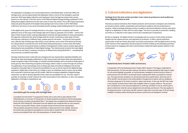# 3. Cultural institutions and digitisation

Heritage from the arts sector provides more value to producers and audiences when digitally linked as well.

Practices at cultural institutions (from theatre producers and musicians to designers and architects) are aimed at artistic creation, presentation and reaching an audience with new productions or products. Unlike at heritage institutions, there is usually no structured collection, and any vision there might be on digitisation is often still in its early stages. The focus is primarily on production. Building an archive or a collection is less urgent, and not yet a standard part of operations.

But this is changing. The digital archive is increasingly seen as a source of new artistic products, insights into the creative process, and inspiration for producers. It offers cultural institutions opportunities to tell new stories about their own history and practices, with the digital archive serving as the memory of the organisation and the producers involved. Setting up and developing practices in these sectors for engaging with what is and has been created will require greater attention in the coming years.



In September 2019, the Nederlands Dans Theater (NDT), based in The Hague, celebrated its 60th anniversary. For this and other reasons, the dance company decided to take steps to make its rich archive digitally accessible. An archiving team managed to archive the lion's share of performances from the NDT's six-decade history, making them better accessible for internal use. This exercise also resulted in an anniversary book and a performance. Since the end of 2019, the NDT can be found on the online platform Google Arts & Culture, with six exhibitions showing a large part of its history in photos, videos and stories. In this way, the NDT has made a vast number of performance video clips available online to a larger audience. This process has contributed to a more structural approach to archiving, and there is now an archive plan in place to determine what the various departments should keep and discard. This also applies to the physical archive. In the future, the NDT wants to make short 'overview clips' of all recordings available, including credits showing the producers, performers and designers involved.

#### Nederlands Dans Theater's 60th anniversary

The digitisation of heritage is not a recent phenomenon in the Netherlands. In the early 1990s, the heritage sector saw the opportunities that digitisation offers in terms of how heritage is used and preserved. With large digital collections and catalogues, Dutch heritage has always had a strong presence on the internet. In the first version of the National Digital Heritage Strategy, published in 2015, linking these digital collections from the user's point of view was central. This is still of great importance today and, given the growth of the digital world, perhaps even more so than in 2015. With linked collections, new forms of use can be stimulated and the strategy creates building blocks for new stories.

In the digital world, space for heritage diversity is not a given. Large tech companies and internet platforms focus on the icing on the heritage cake and in doing so, generate a lot of traffic – which is the basis of their revenue model. Lacking independence, diversity and opportunities for active participation, this approach undermines the value heritage holds for society. Connecting a wide range of known and unknown collections, of different sizes, creates space for all stories – not just the most popular ones. With the help of linked open data (LOD), a local collection such as that of the Historical Society for Cultural History Lisse tells the story of the flower bulb-growing area in a much richer information context. The focus on personal stories on platform Oorlogslevens.nl (War Lives) is another approach to illustrating the new possibilities of linked digital heritage. This internet portal connects the many digital sources of our war history, creating a rich picture of different lives during World War II – something that was previously considered impossible.

Heritage institutions have to deal with ever-changing end-user requirements regarding findability and interactivity. New technologies enable them to offer services that meet these needs and expectations. Image recognition helps to find images, to reinstall vanished buildings, and to reconstruct landscapes of times gone by. New handwriting recognition technology makes it easier to search through old archives. The application of new technologies such as linked open data and artificial intelligence (AI) and the emergence of big data help to increase the possibilities for use, as well as improve the digital heritage experience. Digital data on the history of a village or town, its inhabitants and its visitors can be linked and connected to historical maps and 3D models. With the increased availability of digital heritage, researchers are able to develop algorithms that create new possibilities for use. This also makes it possible, for example, to better research the multi-voiced nature of the collections. In short, the ongoing digitisation of heritage is expanding its use.



### Journalists get the scoop with heritage data

Journalists from the Dutch TV programme Pointer set to work with an open dataset of the *Verkaufsbücher*, an overview of transactions of Jewish properties and pieces of land expropriated by the German occupiers during World War II. The dataset was compiled by the National Archives during the 2019 HackaLOD. Information from the dataset was combined with our own research to uncover, among other things, stories of people whose homes had been expropriated. This journalistic perspective and the combination of data have led to new insights. Moreover, the results have prompted municipalities to use the data to research their own information sources and establish their role in the expropriation of Jewish homes.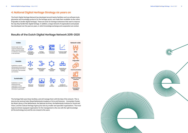

# 4. National Digital Heritage Strategy six years on

The Dutch Digital Heritage Network has developed around twenty facilities such as software tools, glossaries and knowledge products for the heritage sector, and made them available via the online Erfgoedkit.nl (toolkit digital heritage). These are tools for heritage institutions that want to improve the way they handle their digital heritage. In addition, a large network of organisations and people has developed over the past six years, in which knowledge exchange and cooperation are central.

## Results of the Dutch Digital Heritage Network 2015-2020

The heritage field uses these facilities, and will manage them with the help of the network. This is done by the sectoral hubs (Royal Netherlands Academy of Arts and Sciences - Humanities Cluster, the Royal Library of the Netherlands, the National Archives, the Netherlands Institute for Sound and Vision, and the Cultural Heritage Agency) but also by smaller and specialist organisations. The most logical and best equipped organisation for the management is the one with the right knowledge (of the technology too) and the one closest to the users.

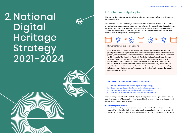# 2. National Strategy is to mal<br>
Energies its use. Digital Heritage Strategy 2021-2024



The aim of the National Strategy is to make heritage easy to find and therefore increase its use.

This is achieved by linking the heritage collections from the perspective of users, such as heritage professionals, scientists, teachers, artists and many others. In this way, digitisation has added value for society. There is currently a wealth of heritage available digitally, but users have to visit many different websites to find it. To lower such barriers to access, we need to ensure that collections continue to be linked digitally in a meaningful way.



## Network of terms as a search engine

How can students, journalists, scientists and other users find online information about the paintings of Rembrandt, regardless of which institutions manage this information? To make this possible, institutions use the same terms to describe the information. For example, 'Rembrandt van Rijn' instead of 'Rembrandt' or 'Rembrant'. The Digital Heritage Network is developing the 'Network of terms' for this purpose, which searches different terminology sources such as RKDartists or the Dutch Thesaurus of Author Names directly, in real time. Institutions can also add their own term lists to the term network. Muziekweb (Music web), for example, has added two term lists with musicians and bands and with music genres and styles. This helps to further enhance the term network for use as a search engine. And it increases the findability of heritage by linking terms.

## **The following four challenges are the focus for 2021-2024:**

- 1. Widening the scope of the National Digital Heritage Strategy.
- 2. Strengthening and deepening the connection with users and producers.
- 3. Using the opportunities and possibilities of new technologies.
- 4. Boosting the development and sharing of digitisation knowledge.

These challenges are reflected in the Dutch Digital Heritage Network's work programme, which is described in section 2. The principles of the National Digital Heritage Strategy below form the basis for how these challenges will be tackled.

**• The heritage user is central**

The linking of heritage collection content focuses on the user. Heritage collections and the material from cultural institutions and producers will be placed online in a way that aligns with the needs of various user groups. Only then can different stories be told, constructed and heard.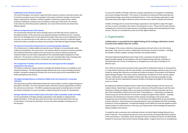To ensure the *usability of heritage collections*, heritage organisations work together to standardise and connect heritage information. This is done, for example, by working with linked open data and by describing heritage using identical standardised terms. In this way, heritage organisations make information about their digital collections easier to find and more usable for people and machines.

*Visibility of heritage* aims to ensure that heritage organisations work together to align their digital services as much as possible to the needs of a broad group of users. They do this through collective marketing, joint customer and market research, knowledge exchange, and by developing joint online services. The aim is to stimulate the actual use of their digital collections.

## 2. Organisation

Collaboration is essential for the digital linking of the heritage collections and to increase their added value for society.

The managers of the various collections make agreements with each other on how this linking takes place. They cannot do it alone. Collaboration with all those involved is essential – including, for example, software suppliers, heritage volunteers and website builders.

The Dutch Digital Heritage Network gives shape to this cooperation through the National Digital Heritage Strategy. By participating in the Dutch Digital Heritage Network, institutions in the Netherlands with a focus on heritage aim to strengthen the social value of heritage for its different users.

Since 2015, the sectoral hubs have been jointly responsible for building the network, as strong parties in a wider field of institutions with the same ambition. As national heritage institutions, they act as role models by making their collections accessible and visible according to the principles of the National Digital Heritage Strategy. This means actively contributing to the Network of terms and the register function, making their own data available as linked open data, and ensuring sustainable storage. The hubs also use their organisational capacity, facilities, knowledge and budget for the heritage sector as a whole.

By updating this National Strategy, the link is made with the digital heritage of the arts sector and creative industry. Specifically to support the sector collections of the performing arts and the sector collections of design and digital culture, two network and platform functions have been set up as part of the Cultural Basic Infrastructure 2021-2024. These platforms – Podiumkunst.net (Network of performing arts) and the Network of Archives for Design and Digital Culture (NADD) – stimulate awareness, the development of expertise and the sharing of knowledge on the preservation, management and accessibility of collections. This will improve the digital linking of and accessibility to these collections. These functions are being developed in close consultation with DEN, Knowledge Institute for Culture & Digitisation. The National Strategy and the DERA form both the guideline and the desired situation for these functions. In this way, use is being made of the knowledge and experience already available in the network.

To enable the right connections and coordinate activities, the Dutch Digital Heritage Network has a board of directors. This comprises the directors of the sectoral hubs, the Royal Netherlands Academy of Arts and Sciences - Humanities Cluster, the National Library, the National Archives, the Netherlands Institute for Sound and Vision and the Cultural Heritage Agency. Together, they focus on strengthening

#### **• Collaboration is the network's strength**

The world of heritage is very diverse. Large and small museums, archives, monument owners, and local history societies are just a few examples of the parties involved in heritage. Governments, support organisations, educators, software suppliers, researchers, programmers, cultural production institutions, producers and consultants are also part of this world. The network is the means by which these parties collaborate. As a result of this diversity, the network has different speeds.

#### **• Hubs are an important part of the network**

The sectoral hubs represent the various heritage sectors and offer their sectors support for the digital transition. At the same time, they seek links between the different sectors. Thematic hubs such as Oorlogsbronnen.nl, and regional information hubs such as those established in the provinces, are important parts of the network as well. These hubs will work to make their digital collections further accessible according to the principles of the National Digital Heritage Strategy.

#### **• The Internet is the technical infrastructure for connecting heritage collections**

This infrastructure is widely available and used by many. Heritage is not automatically visible, usable and sustainable in this environment. The internet makes the technical connection possible, the institutions themselves enable access and ensure the content is linked and preserved. Collection holders are and remain responsible for the sustainable digital management of their collections. The network is working to ensure a clear and comprehensible range of heritage data from the institutions themselves, also via thematic and regional information hubs.

### **• The management of facilities will be entrusted to the most logical and best equipped organisation in the network**

The linking of collections requires specific knowledge and facilities that are not available at each individual institution. The Dutch Digital Heritage Network will work on this knowledge and these facilities. Alongside managing the facilities, this most obvious party will be responsible for the facility development and services.

### **• The Digital Heritage Reference Architecture (DERA) forms the framework for connecting collections**

The requirements and the relationships between the various players involved in digital heritage are described in the DERA. This is the framework within which the necessary agreements for linking the collections are laid down. The DERA is updated annually based on developments in the field and relevant standards, to ensure it provides a usable framework for further ICT development.

## **• Heritage collection content is linked using a three-layer model: sustainable, usable and visible** For the *sustainability of heritage*, heritage organisations work together to safeguard their digital information. To this end, they use tools and other resources that help prevent the loss of information. In this way, the information sources will remain available to heritage users in the long term.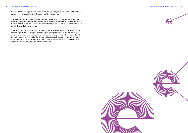the link between their organisations' activities and managing the joint activities that contribute to the objectives of the National Strategy. The chairmanship rotates annually.

To ensure the practices of the cultural institutions are aligned with an important user group of the digital heritage (the producers), The New Institute will be added to the board as a sectoral hub. It will therefore also act as a role model for cultural institutions by making collections available according to the principles of the National Strategy.

Since 2015, the Ministry of Education, Culture and Science has entrusted the implementation of the National Digital Heritage Strategy to the Dutch Digital Heritage Network. The network draws up an annual work programme to this end. The Ministry supports the network as well as the execution of the work programme. The board of the National Heritage Network consults with the Ministry on the implementation of the National Digital Heritage Strategy. The Ministry also owns the DERA and is responsible for its management and further development.



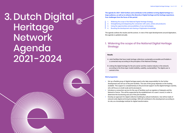# Dutch Digital Heritage Network Agenda 2021 -2024 The agenda for 2021–2024 furthers and contributes to the ambition to bring digital heritage to a<br>large audience, as well as to enhance the diversity of digital heritage and the heritage experience<br>and the heritage and the



**large audience, as well as to enhance the diversity of digital heritage and the heritage experience. Four challenges form the focus of this period:**

# 1. Widening the scope of the National Digital Heritage **Strategy**

- 1. Widening the scope of the National Digital Heritage Strategy.
- 2. Strengthening and deepening the connection with users, artists and producers.
- 3. Using the opportunities and possibilities of new technologies.
- 4. Boosting the development and sharing of digitisation knowledge.

The agenda outlines the results and the actions. In view of the rapid developments around digitisation, this agenda is updated annually.

## **Results**

- A. Joint facilities that have made heritage collections sustainably accessible and findable in a connected way according to the principles of the National Strategy.
- B. Linking the digital heritage for the arts sector and the creative industry in the network, according to the three-layer model (visibility, usability, sustainability). The digital user is central to this.

### **Work programme**

available. This support is complementary to the provincial support via the digital heritage coaches,

- **•** Set up a flexible group of digital heritage experts who take responsibility for the further development and roll-out of the joint facilities. The size of this group depends on the funding who will focus on small-scale and local projects.
- **•** Introduce a connection service for the use of facilities such as registers of datasets and the Network of terms. This will be supported by the establishment of a users' council, in order to determine the functioning and use of the joint facilities.
- **•** Develop an approach for digital collection building by cultural institutions. Use will be made of network-wide digital archiving knowledge. DEN will contribute to this development according to its role, as a knowledge institute for digital transformation.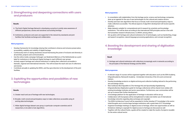#### **Work programme**

- **•** In consultation with stakeholders from the heritage sector, science and technology companies, draw up an agenda for the use of new technologies for the cultural and creative sectors.
- **•** Develop and train new algorithms that focus on broad, multi-voiced and participatory ways to make collections accessible. The ethical aspects of algorithm development will receive specific attention.
- **•** Make datasets suitable for computational and AI research by scientists and knowledge institutions. This will be done according to the international FAIR principles and be in line with the humanities research infrastructure, CLARIAH, among others.
- **•** Set up pilots with heritage and cultural institutions for AI technologies, such as handwriting, image and speech recognition, natural language processing applications, and concept recognition.

## 4. Boosting the development and sharing of digitisation knowledge

#### **Result**

A. Heritage and cultural institutions with collections increasingly work in networks according to the principles of the National Strategy and the DERA.

#### **Work programme**

- **•** A relevant range of courses will be organised together with educators such as the DEN Academy, ErfgoedAcademie, Reinwardt Academy - Amsterdam University of the Arts and commercial trainers.
- **•** Develop knowledge products on digital archiving and collection building tailored to the performing arts and design sector.
- **•** New toolboxes like Erfgoedkit.nl (The Heritage Kit) and Spoorboekje Digitalisering Erfgoedcollecties (Digitisation guide for heritage collections) will be shared more widely with existing knowledge institutes and sector associations. Furthermore, user communities will be set up to ensure their further development.
- **•** A knowledge platform for the application of heritage in education will be set up.
- **•** Collaboration with Europeana will be strengthened to make even better use of international knowledge networks regarding data exchange and copyright.
- **•** The DERA Architecture Council will be expanded to further develop ICT knowledge in the sector. Initial thoughts are to involve large heritage institutions with a great deal of ICT knowledge.
- **•** Organise knowledge meetings on digital access to heritage, where new opportunities as well as limitations relating to copyright for digital access to heritage are discussed as well.
- **•** Together with the cultural funds, a guide will be created to make the results of projects reusable for the entire cultural sector.

# 2. Strengthening and deepening connections with users and producers

#### **Results**

- A. The Dutch Digital Heritage Network is developing a practice to jointly raise awareness of different perspectives, stories and narratives surrounding heritage.
- B. Institutions, producers and users are supported in the network by standards and joint facilities that facilitate exchange and collaboration.

#### **Work programme**

- **•** Develop frameworks for knowledge sharing that contribute to diverse and inclusive preservation, accessibility, usability and visibility of digital heritage.
- **•** Continuously work on raising awareness around harnessing the power of inclusion and diversity in all activities, projects and communications.
- **•** Use the online media campaign Geheugen van Nederland (Memory of the Netherlands) as a joint label for institutions in the Network Digital Heritage to reach different user groups.
- **•** Actively support heritage and cultural institutions in making their collections accessible in thematic, regional and international networks. This will increase the reach and use of collections and stories.
- **•** Contribute annually to updating the DERA, and thus give direction to the development of the joint facilities.

## 3. Exploiting the opportunities and possibilities of new technologies

#### **Results**

- A. Greater reach and use of heritage with new technologies.
- B. Broader, multi-voiced and participatory ways to make collections accessible using AI and big data technologies.
- C. Wider digital heritage dataset user group, in particular computer scientists and AI researchers, to be able to train algorithms.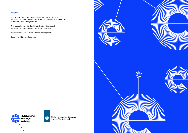

## **Colophon**

This version of the National Strategy was created on the initiative of the Ministry of Education, Culture and Science, in conjunction with the partners in the Dutch Digital Heritage Network.

This is a publication of the Dutch Digital Heritage Network and the Ministry of Education, Culture and Science, March 2021

More information can be found: netwerkdigitaalerfgoed.nl.

Design: Het Echte Werk, Rotterdam



THIN

海